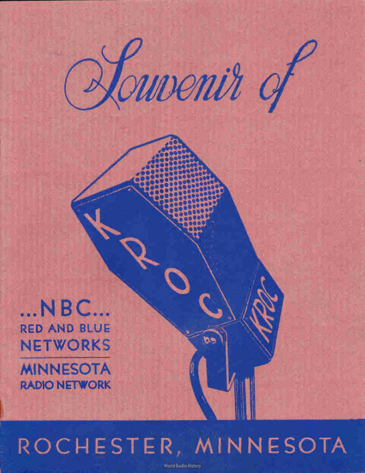

 $...$  N B C $...$ RED AND BLUE NETWORKS

**MINNESOTA** RADIO NETWORK

# ROCHESTER, MINNESOTA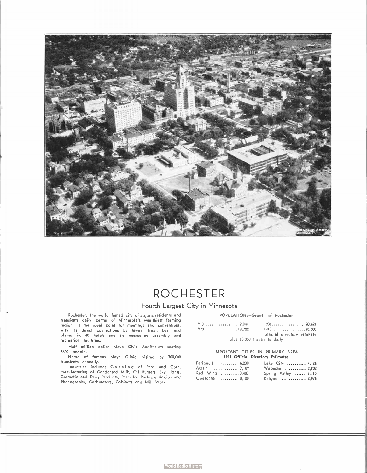

### ROCHESTER

#### Fourth Largest City in Minnesota

Rochester, the world famed city of 40,0oo residents and transients daily, center of Minnesota's wealthiest farming region, is the ideal point for meetings and conventions, with its airect connections by hiway, train, bus, and<br>plane; its 40 hotels and its unexcelled assembly and<br>recreation facilities.

Half million dollar Mayo Civic Auditorium seating 6500 people.

Home of famous Mayo Clinic, visited by 300,000 transients annually.

Industries include: Canning of Peas and Corn, manufacturing of Condensed Milk, Oil Burners, Sky Lights, Cosmetic and Drug Products, Parts for Portable Radios and Phonographs, Carburetors, Cabinets and Mill Work.

POPULATION:-Growth of Rochester

1910 7,844 1930 20,621 1940 .................30,000 official directory estimate plus 10,000 transients daily

#### IMPORTANT CITIES IN PRIMARY AREA 1939 Official Directory Estimates

| Faribault 16.230 | Lake City  4,126     |  |
|------------------|----------------------|--|
| Austin 17,109    | Wabasha  2,802       |  |
| Red Wing 13,403  | Spring Valley  2,110 |  |
| Owatonna 10,100  | Kenyon  2.076        |  |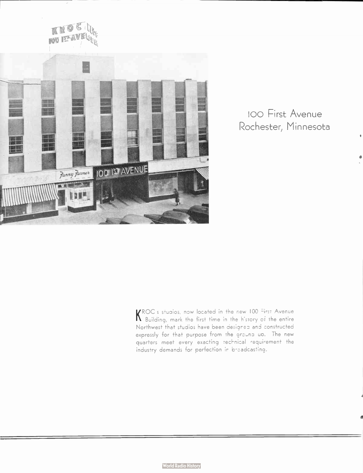

#### 100 First Avenue Rochester, Minnesota

KROC's studios, now located in the new 100 First Avenue<br>K Building, mark the first time in the history of the entire Northwest that studios have been designed and constructed expressly for that purpose from the ground up. The new quarters meet every exacting technical requirement the industry demands for perfection in broadcasting.

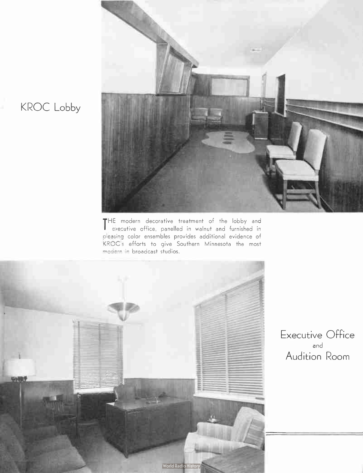

THE modern decorative treatment ot the lobby and<br>executive office, panelled in walnut and furnished in executive office, panelled in walnut and furnished in pleasing color ensembles provides additional evidence of KROC's efforts to give Southern Minnesota the most modern in broadcast studios.



Executive Office and Audition Room

## KROC Lobby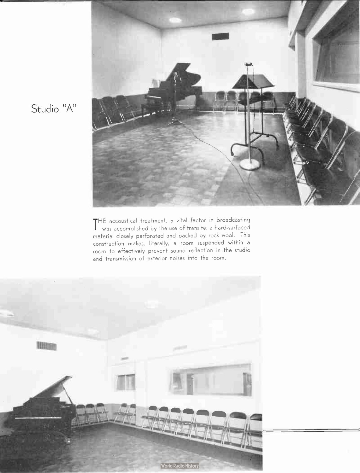

Studio "A"

THE accoustical treatment, a vital factor in broadcasting<br>Was accomplished by the use of transite, a hard-surfaced was accomplished by the use of transite, a hard-surfaced material closely perforated and backed by rock wool. This construction makes, literally, a room suspended within a room to effectively prevent sound reflection in the studio and transmission of exterior noises into the room.

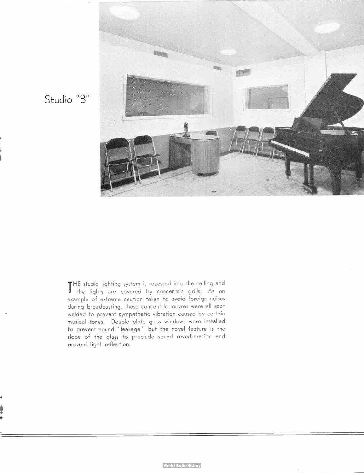

Studio "B"

THE studio lighting system is recessed into the ceiling and<br>The lights are covered by concentric grills. As an THE studio lighting system is recessed into the ceiling and example of extreme caution taken to avoid foreign noises during broadcasting, these concentric louvres were all spot welded to prevent sympathetic vibration caused by certain musical tones. Double plate glass windows were installed to prevent sound "leakage," but the novel feature is the slope of the glass to preclude sound reverberation and prevent light reflection.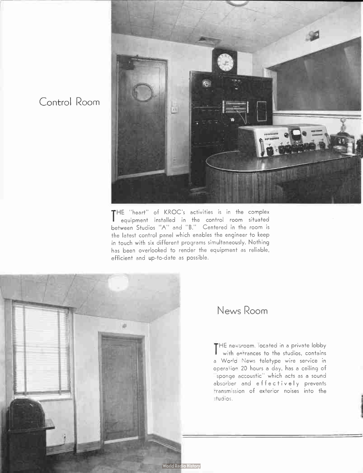

THE "heart" of KROC's activities is in the complex<br>Pequipment installed in the control room situated equipment installed in the control room situated between Studios "A" and "B." Centered in the room is the latest control panel which enables the engineer to keep in touch with six different programs simultaneously. Nothing has been overlooked to render the equipment as reliable, efficient and up-to-date as possible.



Control Room

#### News Room

THE newsroom, located in a private lobby<br>with entrances to the studios, contains with entrances to the studios, contains a World News teletype wire service in operation 20 hours a day, has a ceiling of sponge accoustic" which acts as a sound absorber and effectively prevents transmission of exterior noises into the studios.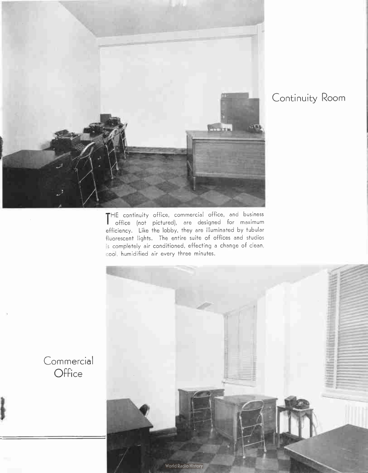

#### Continuity Room

THE continuity office, commercial office, and business<br>The fice (not pictured), are designed for maximum office ( not pictured), are designed for maximum efficiency. Like the lobby, they are illuminated by tubular fluorescent lights. The entire suite of offices and studios is completely air conditioned, effecting a change of clean, cool, humidified air every three minutes.



**Commercial Office**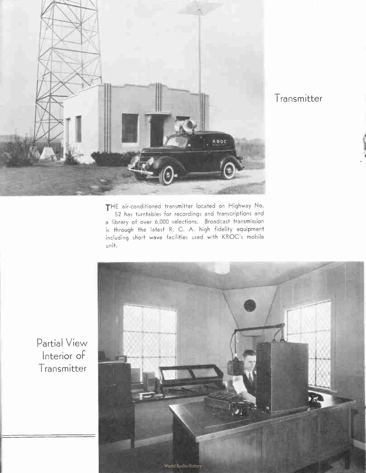

Transmitter

THE air-conditioned transmitter located on Highway No. 52 has turntables for recordings and transcriptions and a library of over 6,000 selections. Broadcast transmission is through the latest R. C. A. high fidelity equipment including short wave facilities used with KROC's mobile unit.



Partial View Interior of Transmitter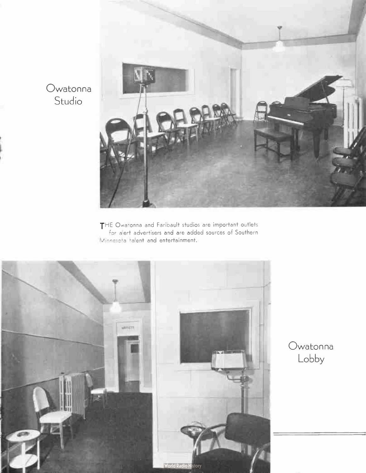

THE Owatonna and Faribault studios are important outlets for alert advertisers and are added sources of Southern M;rresota talent and entertainment.



Owatonna Lobby

Owatonna Studio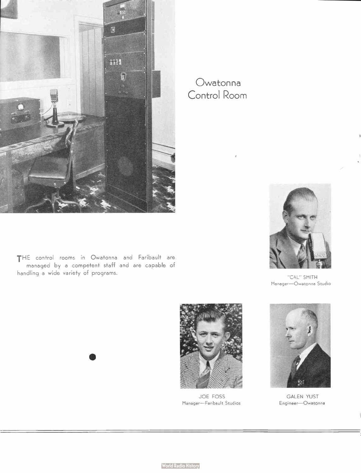

Owatonna Control Room

THE control rooms in Owatonna and Faribault are managed by a competent staff and are capable of handling a wide variety of programs.

•



'CAL.' SMITH Manager—Owatonna Studio



JOE FOSS Manager—Faribault Studios



GALEN YUST Engineer— Owatonna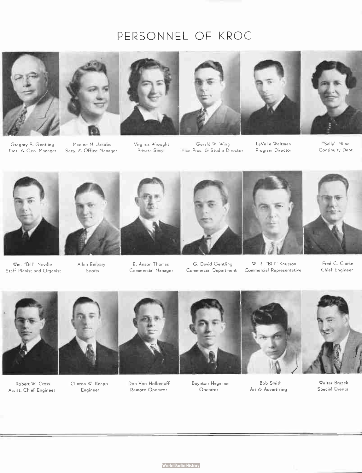## PERSONNEL OF KROC





Gregory P. Gentling Pres. & Gen. Manager

Maxine M. Jacobs Secy. & Office Manager







"Sally" Milne Continuity Dept.



Wm. " Bill" Neville Staff Pianist and Organist



Allen Embury Sports

Virginia Wrought Private Secy.

Gerald W. Wing Vice-Pres. & Studio Director LaVelle Waltman Program Director



E. Anson Thomas G. David Gentling W. R. " Bill" Knutson Fred C. Clarke Commercial Manager Commercial Department Commercial Representative

> Bob Smith Art & Advertising

Chief Engineer



Robert W. Cross Assist. Chief Engineer



Clinton W. Knapp Engineer



Don Von Holbenoff Remote Operator



Boynton Hagaman Operator



Walter Bruzek Special Events